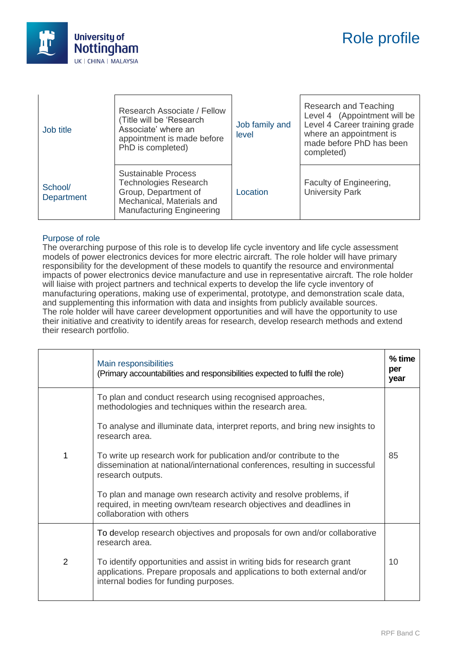

| Job title                    | Research Associate / Fellow<br>(Title will be 'Research<br>Associate' where an<br>appointment is made before<br>PhD is completed)                   | Job family and<br>level | Research and Teaching<br>Level 4 (Appointment will be<br>Level 4 Career training grade<br>where an appointment is<br>made before PhD has been<br>completed) |
|------------------------------|-----------------------------------------------------------------------------------------------------------------------------------------------------|-------------------------|-------------------------------------------------------------------------------------------------------------------------------------------------------------|
| School/<br><b>Department</b> | <b>Sustainable Process</b><br><b>Technologies Research</b><br>Group, Department of<br>Mechanical, Materials and<br><b>Manufacturing Engineering</b> | Location                | Faculty of Engineering,<br><b>University Park</b>                                                                                                           |

## Purpose of role

The overarching purpose of this role is to develop life cycle inventory and life cycle assessment models of power electronics devices for more electric aircraft. The role holder will have primary responsibility for the development of these models to quantify the resource and environmental impacts of power electronics device manufacture and use in representative aircraft. The role holder will liaise with project partners and technical experts to develop the life cycle inventory of manufacturing operations, making use of experimental, prototype, and demonstration scale data, and supplementing this information with data and insights from publicly available sources. The role holder will have career development opportunities and will have the opportunity to use their initiative and creativity to identify areas for research, develop research methods and extend their research portfolio.

|                | Main responsibilities<br>(Primary accountabilities and responsibilities expected to fulfil the role)                                                                                         | $%$ time<br>per<br>year |
|----------------|----------------------------------------------------------------------------------------------------------------------------------------------------------------------------------------------|-------------------------|
| 1              | To plan and conduct research using recognised approaches,<br>methodologies and techniques within the research area.                                                                          |                         |
|                | To analyse and illuminate data, interpret reports, and bring new insights to<br>research area.                                                                                               |                         |
|                | To write up research work for publication and/or contribute to the<br>dissemination at national/international conferences, resulting in successful<br>research outputs.                      | 85                      |
|                | To plan and manage own research activity and resolve problems, if<br>required, in meeting own/team research objectives and deadlines in<br>collaboration with others                         |                         |
|                | To develop research objectives and proposals for own and/or collaborative<br>research area.                                                                                                  |                         |
| $\overline{2}$ | To identify opportunities and assist in writing bids for research grant<br>applications. Prepare proposals and applications to both external and/or<br>internal bodies for funding purposes. | 10                      |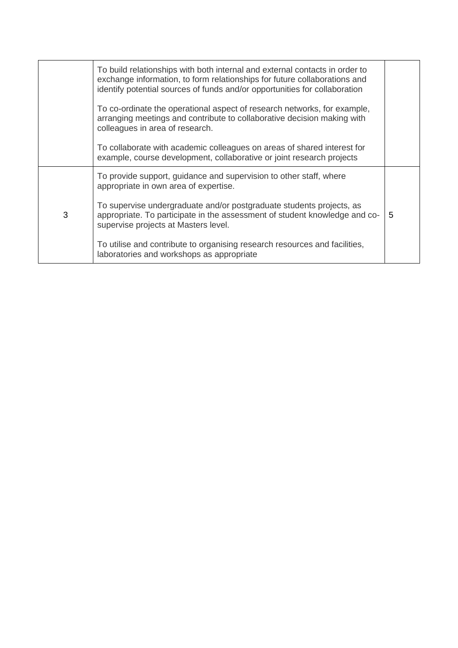|   | To build relationships with both internal and external contacts in order to<br>exchange information, to form relationships for future collaborations and<br>identify potential sources of funds and/or opportunities for collaboration |   |
|---|----------------------------------------------------------------------------------------------------------------------------------------------------------------------------------------------------------------------------------------|---|
|   | To co-ordinate the operational aspect of research networks, for example,<br>arranging meetings and contribute to collaborative decision making with<br>colleagues in area of research.                                                 |   |
|   | To collaborate with academic colleagues on areas of shared interest for<br>example, course development, collaborative or joint research projects                                                                                       |   |
| 3 | To provide support, guidance and supervision to other staff, where<br>appropriate in own area of expertise.                                                                                                                            |   |
|   | To supervise undergraduate and/or postgraduate students projects, as<br>appropriate. To participate in the assessment of student knowledge and co-<br>supervise projects at Masters level.                                             | 5 |
|   | To utilise and contribute to organising research resources and facilities,<br>laboratories and workshops as appropriate                                                                                                                |   |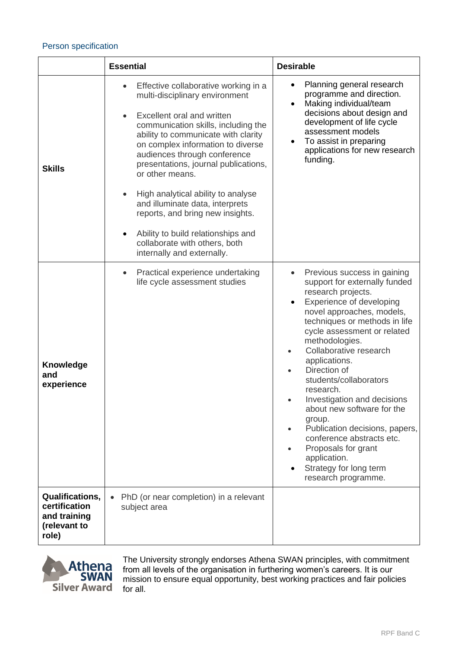## Person specification

|                                                                                  | <b>Essential</b>                                                                                                                                                                                                                                                                                                                                                                                                                                                                                                                     | <b>Desirable</b>                                                                                                                                                                                                                                                                                                                                                                                                                                                                                                                                                           |
|----------------------------------------------------------------------------------|--------------------------------------------------------------------------------------------------------------------------------------------------------------------------------------------------------------------------------------------------------------------------------------------------------------------------------------------------------------------------------------------------------------------------------------------------------------------------------------------------------------------------------------|----------------------------------------------------------------------------------------------------------------------------------------------------------------------------------------------------------------------------------------------------------------------------------------------------------------------------------------------------------------------------------------------------------------------------------------------------------------------------------------------------------------------------------------------------------------------------|
| <b>Skills</b>                                                                    | Effective collaborative working in a<br>multi-disciplinary environment<br>Excellent oral and written<br>communication skills, including the<br>ability to communicate with clarity<br>on complex information to diverse<br>audiences through conference<br>presentations, journal publications,<br>or other means.<br>High analytical ability to analyse<br>and illuminate data, interprets<br>reports, and bring new insights.<br>Ability to build relationships and<br>collaborate with others, both<br>internally and externally. | Planning general research<br>٠<br>programme and direction.<br>Making individual/team<br>$\bullet$<br>decisions about design and<br>development of life cycle<br>assessment models<br>To assist in preparing<br>$\bullet$<br>applications for new research<br>funding.                                                                                                                                                                                                                                                                                                      |
| <b>Knowledge</b><br>and<br>experience                                            | Practical experience undertaking<br>$\bullet$<br>life cycle assessment studies                                                                                                                                                                                                                                                                                                                                                                                                                                                       | Previous success in gaining<br>support for externally funded<br>research projects.<br>Experience of developing<br>$\bullet$<br>novel approaches, models,<br>techniques or methods in life<br>cycle assessment or related<br>methodologies.<br>Collaborative research<br>applications.<br>Direction of<br>students/collaborators<br>research.<br>Investigation and decisions<br>about new software for the<br>group.<br>Publication decisions, papers,<br>conference abstracts etc.<br>Proposals for grant<br>application.<br>Strategy for long term<br>research programme. |
| <b>Qualifications,</b><br>certification<br>and training<br>(relevant to<br>role) | PhD (or near completion) in a relevant<br>$\bullet$<br>subject area                                                                                                                                                                                                                                                                                                                                                                                                                                                                  |                                                                                                                                                                                                                                                                                                                                                                                                                                                                                                                                                                            |



The University strongly endorses Athena SWAN principles, with commitment from all levels of the organisation in furthering women's careers. It is our mission to ensure equal opportunity, best working practices and fair policies for all.